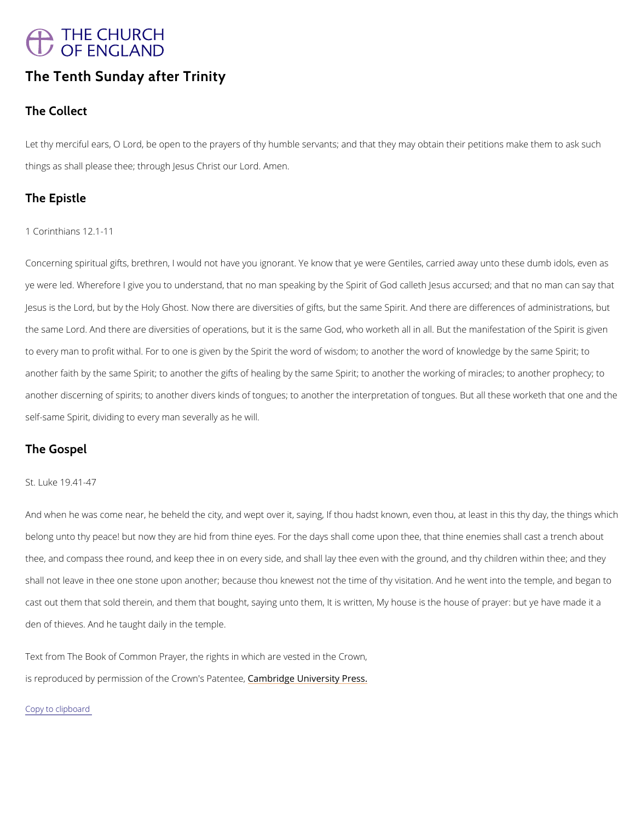## THE CHURCH<br>OF ENGLAND

## The Tenth Sunday after Trinity

The Collect

Letthy merciful ears, O Lord, be open to the prayers of thy humble servants; and that they ma things as shall please thee; through Almesums Christ our Lord.

The Epistle

1 Corinthians 12.1-11

Concernispogritual gifts, brethren, I would not have you ignorant. Ye know that ye were Gentile ye were led. Wherefore I give you to understand, that no man speaking by the Spirit of God c Jesus is the Lord, but by the Holy Ghost. Now there are diversities of gifts, but the same Sp the same Lord. And there are diversities of operations, but it is the same God, who worketh to every man to profit withal. For to one is given by the Spirit the word of wisdom; to anothe another faith by the same Spirit; to another the gifts of healing by the same Spirit; to anothe another discerning of spirits; to another divers kinds of tongues; to another the interpretatio self-same Spirit, dividing to every man severally as he will.

The Gospel

St. Luke 19.41-47

Andwhen he was come near, he beheld the city, and wept over it, saying, If thou hadst known belong unto thy peace! but now they are hid from thine eyes. For the days shall come upon the thee, and compass thee round, and keep thee in on every side, and shall lay thee even with shall not leave in thee one stone upon another; because thou knewest not the time of thy vis cast out them that sold therein, and them that bought, saying unto them, It is written, My house as the house o

den of thieves. And he taught daily in the temple.

Text from The Book of Common Prayer, the rights in which are vested in the Crown,

is reproduced by permission of the  $C$   $\mathcal{E}$  m dow ind  $g$  eP  $\mathcal{E}$  heime  $\mathcal{E}$  estigntly Press.

Copy to clipboard